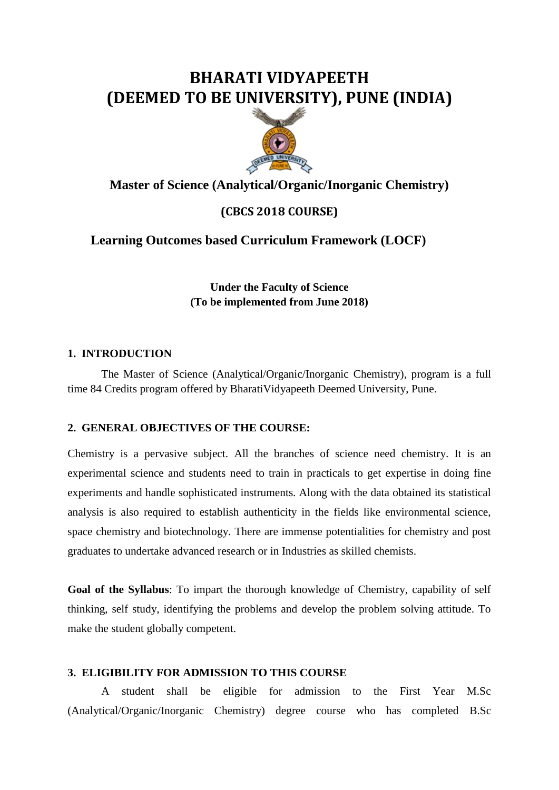# **BHARATI VIDYAPEETH (DEEMED TO BE UNIVERSITY), PUNE (INDIA)**



# **Master of Science (Analytical/Organic/Inorganic Chemistry)**

# **(CBCS 2018 COURSE)**

## **Learning Outcomes based Curriculum Framework (LOCF)**

**Under the Faculty of Science (To be implemented from June 2018)**

### **1. INTRODUCTION**

The Master of Science (Analytical/Organic/Inorganic Chemistry), program is a full time 84 Credits program offered by BharatiVidyapeeth Deemed University, Pune.

### **2. GENERAL OBJECTIVES OF THE COURSE:**

Chemistry is a pervasive subject. All the branches of science need chemistry. It is an experimental science and students need to train in practicals to get expertise in doing fine experiments and handle sophisticated instruments. Along with the data obtained its statistical analysis is also required to establish authenticity in the fields like environmental science, space chemistry and biotechnology. There are immense potentialities for chemistry and post graduates to undertake advanced research or in Industries as skilled chemists.

**Goal of the Syllabus**: To impart the thorough knowledge of Chemistry, capability of self thinking, self study, identifying the problems and develop the problem solving attitude. To make the student globally competent.

### **3. ELIGIBILITY FOR ADMISSION TO THIS COURSE**

A student shall be eligible for admission to the First Year M.Sc (Analytical/Organic/Inorganic Chemistry) degree course who has completed B.Sc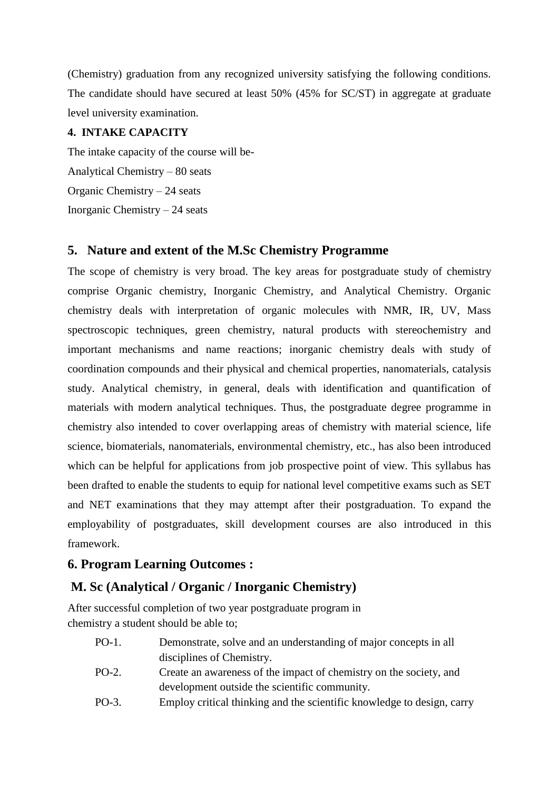(Chemistry) graduation from any recognized university satisfying the following conditions. The candidate should have secured at least 50% (45% for SC/ST) in aggregate at graduate level university examination.

### **4. INTAKE CAPACITY**

The intake capacity of the course will be-Analytical Chemistry – 80 seats Organic Chemistry – 24 seats Inorganic Chemistry – 24 seats

# **5. Nature and extent of the M.Sc Chemistry Programme**

The scope of chemistry is very broad. The key areas for postgraduate study of chemistry comprise Organic chemistry, Inorganic Chemistry, and Analytical Chemistry. Organic chemistry deals with interpretation of organic molecules with NMR, IR, UV, Mass spectroscopic techniques, green chemistry, natural products with stereochemistry and important mechanisms and name reactions; inorganic chemistry deals with study of coordination compounds and their physical and chemical properties, nanomaterials, catalysis study. Analytical chemistry, in general, deals with identification and quantification of materials with modern analytical techniques. Thus, the postgraduate degree programme in chemistry also intended to cover overlapping areas of chemistry with material science, life science, biomaterials, nanomaterials, environmental chemistry, etc., has also been introduced which can be helpful for applications from job prospective point of view. This syllabus has been drafted to enable the students to equip for national level competitive exams such as SET and NET examinations that they may attempt after their postgraduation. To expand the employability of postgraduates, skill development courses are also introduced in this framework.

# **6. Program Learning Outcomes :**

# **M. Sc (Analytical / Organic / Inorganic Chemistry)**

After successful completion of two year postgraduate program in chemistry a student should be able to;

| PO-1.               | Demonstrate, solve and an understanding of major concepts in all   |
|---------------------|--------------------------------------------------------------------|
|                     | disciplines of Chemistry.                                          |
| PO-2.               | Create an awareness of the impact of chemistry on the society, and |
|                     | development outside the scientific community.                      |
| $\mathbf{r} \wedge$ |                                                                    |

PO-3. Employ critical thinking and the scientific knowledge to design, carry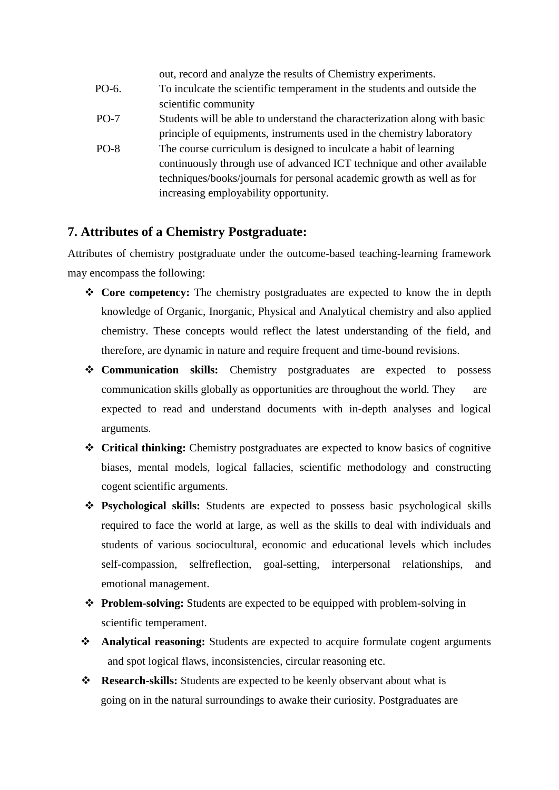|        | out, record and analyze the results of Chemistry experiments.             |
|--------|---------------------------------------------------------------------------|
| PO-6.  | To inculcate the scientific temperament in the students and outside the   |
|        | scientific community                                                      |
| $PO-7$ | Students will be able to understand the characterization along with basic |
|        | principle of equipments, instruments used in the chemistry laboratory     |
| $PO-8$ | The course curriculum is designed to inculcate a habit of learning        |
|        | continuously through use of advanced ICT technique and other available    |
|        | techniques/books/journals for personal academic growth as well as for     |
|        | increasing employability opportunity.                                     |

# **7. Attributes of a Chemistry Postgraduate:**

Attributes of chemistry postgraduate under the outcome-based teaching-learning framework may encompass the following:

- **Core competency:** The chemistry postgraduates are expected to know the in depth knowledge of Organic, Inorganic, Physical and Analytical chemistry and also applied chemistry. These concepts would reflect the latest understanding of the field, and therefore, are dynamic in nature and require frequent and time-bound revisions.
- **Communication skills:** Chemistry postgraduates are expected to possess communication skills globally as opportunities are throughout the world. They are expected to read and understand documents with in-depth analyses and logical arguments.
- **Critical thinking:** Chemistry postgraduates are expected to know basics of cognitive biases, mental models, logical fallacies, scientific methodology and constructing cogent scientific arguments.
- **Psychological skills:** Students are expected to possess basic psychological skills required to face the world at large, as well as the skills to deal with individuals and students of various sociocultural, economic and educational levels which includes self-compassion, selfreflection, goal-setting, interpersonal relationships, and emotional management.
- **Problem-solving:** Students are expected to be equipped with problem-solving in scientific temperament.
- **Analytical reasoning:** Students are expected to acquire formulate cogent arguments and spot logical flaws, inconsistencies, circular reasoning etc.
- **Research-skills:** Students are expected to be keenly observant about what is going on in the natural surroundings to awake their curiosity. Postgraduates are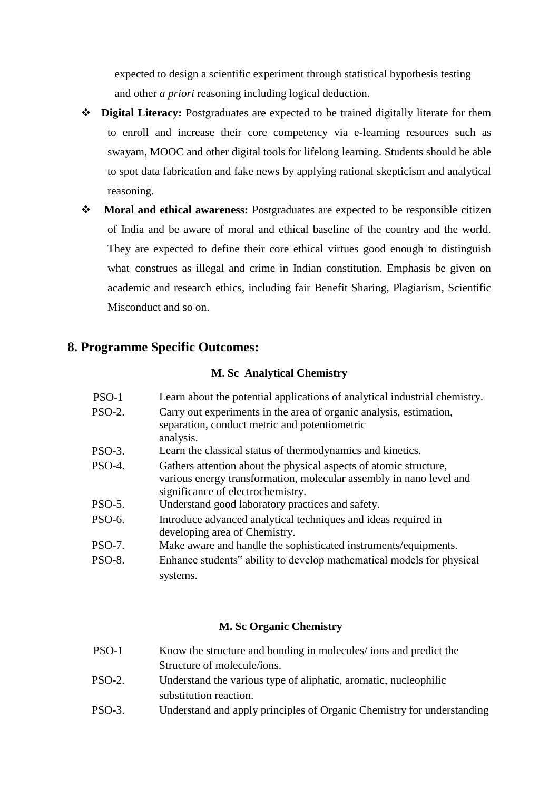expected to design a scientific experiment through statistical hypothesis testing and other *a priori* reasoning including logical deduction.

- **Digital Literacy:** Postgraduates are expected to be trained digitally literate for them to enroll and increase their core competency via e-learning resources such as swayam, MOOC and other digital tools for lifelong learning. Students should be able to spot data fabrication and fake news by applying rational skepticism and analytical reasoning.
- **Moral and ethical awareness:** Postgraduates are expected to be responsible citizen of India and be aware of moral and ethical baseline of the country and the world. They are expected to define their core ethical virtues good enough to distinguish what construes as illegal and crime in Indian constitution. Emphasis be given on academic and research ethics, including fair Benefit Sharing, Plagiarism, Scientific Misconduct and so on.

# **8. Programme Specific Outcomes:**

### **M. Sc Analytical Chemistry**

| PSO-1         | Learn about the potential applications of analytical industrial chemistry.                                          |
|---------------|---------------------------------------------------------------------------------------------------------------------|
| <b>PSO-2.</b> | Carry out experiments in the area of organic analysis, estimation,<br>separation, conduct metric and potentiometric |
|               | analysis.                                                                                                           |
| $PSO-3.$      | Learn the classical status of thermodynamics and kinetics.                                                          |
| <b>PSO-4.</b> | Gathers attention about the physical aspects of atomic structure,                                                   |
|               | various energy transformation, molecular assembly in nano level and<br>significance of electrochemistry.            |
| <b>PSO-5.</b> | Understand good laboratory practices and safety.                                                                    |
| PSO-6.        | Introduce advanced analytical techniques and ideas required in<br>developing area of Chemistry.                     |
| PSO-7.        | Make aware and handle the sophisticated instruments/equipments.                                                     |
| <b>PSO-8.</b> | Enhance students" ability to develop mathematical models for physical                                               |
|               | systems.                                                                                                            |

### **M. Sc Organic Chemistry**

| PSO-1                        | Know the structure and bonding in molecules/ ions and predict the                                                                                                                                                                |
|------------------------------|----------------------------------------------------------------------------------------------------------------------------------------------------------------------------------------------------------------------------------|
|                              | Structure of molecule/ions.                                                                                                                                                                                                      |
| $\mathbf{a} \cap \mathbf{b}$ | $\mathbf{r}$ , and , and , and , and , and , and , and , and , and , and , and , and , and , and , and , and , and , and , and , and , and , and , and , and , and , and , and , and , and , and , and , and , and , and , and , |

- PSO-2. Understand the various type of aliphatic, aromatic, nucleophilic substitution reaction.
- PSO-3. Understand and apply principles of Organic Chemistry for understanding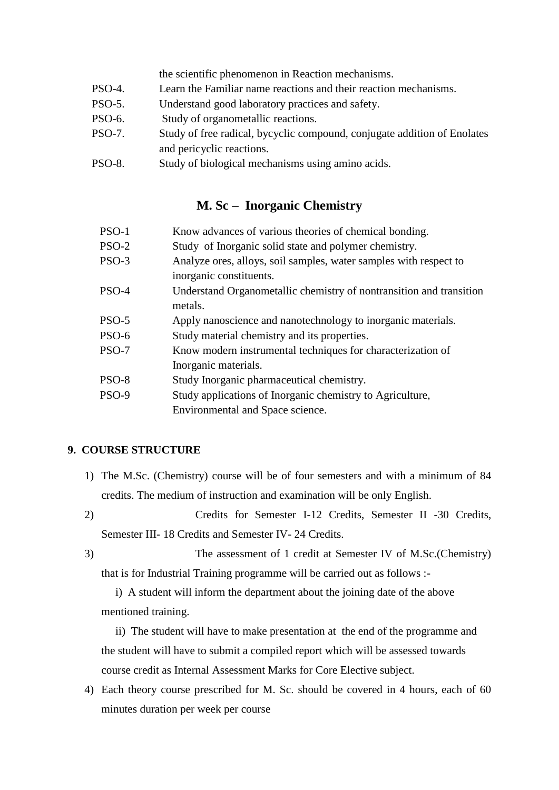the scientific phenomenon in Reaction mechanisms.

- PSO-4. Learn the Familiar name reactions and their reaction mechanisms.
- PSO-5. Understand good laboratory practices and safety.
- PSO-6. Study of organometallic reactions.
- PSO-7. Study of free radical, bycyclic compound, conjugate addition of Enolates and pericyclic reactions.
- PSO-8. Study of biological mechanisms using amino acids.

# **M. Sc – Inorganic Chemistry**

| PSO-1        | Know advances of various theories of chemical bonding.              |
|--------------|---------------------------------------------------------------------|
| $PSO-2$      | Study of Inorganic solid state and polymer chemistry.               |
| $PSO-3$      | Analyze ores, alloys, soil samples, water samples with respect to   |
|              | inorganic constituents.                                             |
| PSO-4        | Understand Organometallic chemistry of nontransition and transition |
|              | metals.                                                             |
| $PSO-5$      | Apply nanoscience and nanotechnology to inorganic materials.        |
| PSO-6        | Study material chemistry and its properties.                        |
| PSO-7        | Know modern instrumental techniques for characterization of         |
|              | Inorganic materials.                                                |
| PSO-8        | Study Inorganic pharmaceutical chemistry.                           |
| <b>PSO-9</b> | Study applications of Inorganic chemistry to Agriculture,           |
|              | Environmental and Space science.                                    |

### **9. COURSE STRUCTURE**

- 1) The M.Sc. (Chemistry) course will be of four semesters and with a minimum of 84 credits. The medium of instruction and examination will be only English.
- 2) Credits for Semester I-12 Credits, Semester II -30 Credits, Semester III- 18 Credits and Semester IV- 24 Credits.
- 

3) The assessment of 1 credit at Semester IV of M.Sc.(Chemistry) that is for Industrial Training programme will be carried out as follows :-

 i) A student will inform the department about the joining date of the above mentioned training.

 ii) The student will have to make presentation at the end of the programme and the student will have to submit a compiled report which will be assessed towards course credit as Internal Assessment Marks for Core Elective subject.

4) Each theory course prescribed for M. Sc. should be covered in 4 hours, each of 60 minutes duration per week per course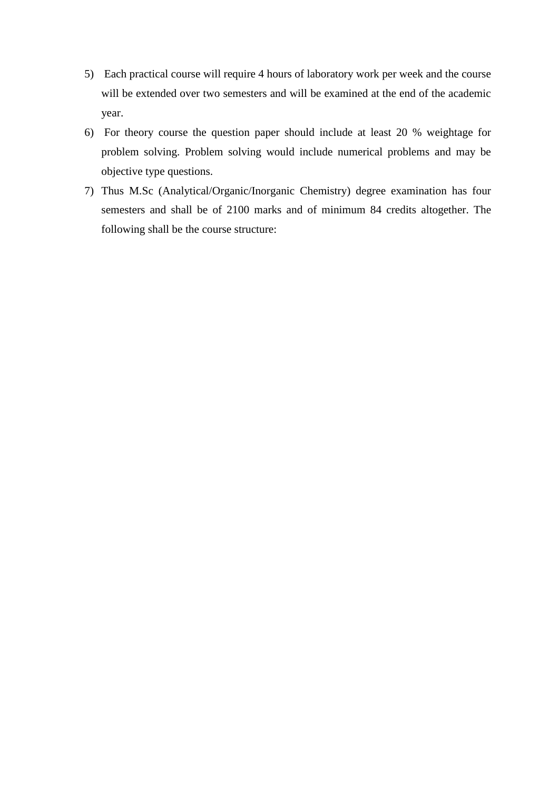- 5) Each practical course will require 4 hours of laboratory work per week and the course will be extended over two semesters and will be examined at the end of the academic year.
- 6) For theory course the question paper should include at least 20 % weightage for problem solving. Problem solving would include numerical problems and may be objective type questions.
- 7) Thus M.Sc (Analytical/Organic/Inorganic Chemistry) degree examination has four semesters and shall be of 2100 marks and of minimum 84 credits altogether. The following shall be the course structure: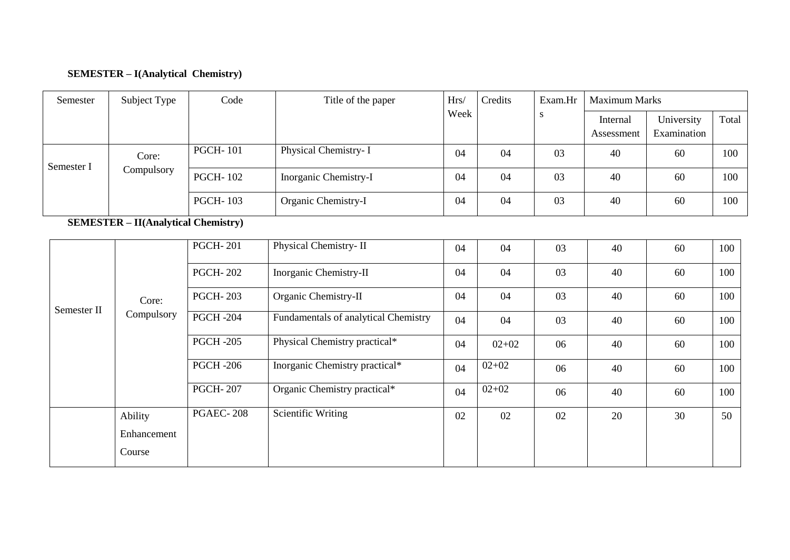# **SEMESTER – I(Analytical Chemistry)**

| Semester    | Subject Type                               | Code            | Title of the paper                   | Hrs/ | Credits   | Exam.Hr |                        | <b>Maximum Marks</b>      |       |  |  |
|-------------|--------------------------------------------|-----------------|--------------------------------------|------|-----------|---------|------------------------|---------------------------|-------|--|--|
|             |                                            |                 |                                      | Week |           | S       | Internal<br>Assessment | University<br>Examination | Total |  |  |
| Semester I  | Core:                                      | <b>PGCH-101</b> | Physical Chemistry- I                | 04   | 04        | 03      | 40                     | 60                        | 100   |  |  |
|             | Compulsory                                 | <b>PGCH-102</b> | Inorganic Chemistry-I                | 04   | 04        | 03      | 40                     | 60                        | 100   |  |  |
|             |                                            | <b>PGCH-103</b> | Organic Chemistry-I                  | 04   | 04        | 03      | 40                     | 60                        | 100   |  |  |
|             | <b>SEMESTER – II(Analytical Chemistry)</b> |                 |                                      |      |           |         |                        |                           |       |  |  |
|             |                                            | <b>PGCH-201</b> | Physical Chemistry-II                | 04   | 04        | 03      | 40                     | 60                        | 100   |  |  |
|             |                                            | <b>PGCH-202</b> | Inorganic Chemistry-II               | 04   | 04        | 03      | 40                     | 60                        | 100   |  |  |
|             | Core:                                      | <b>PGCH-203</b> | Organic Chemistry-II                 | 04   | 04        | 03      | 40                     | 60                        | 100   |  |  |
| Semester II | Compulsory                                 | <b>PGCH-204</b> | Fundamentals of analytical Chemistry | 04   | 04        | 03      | 40                     | 60                        | 100   |  |  |
|             |                                            | <b>PGCH-205</b> | Physical Chemistry practical*        | 04   | $02 + 02$ | 06      | 40                     | 60                        | 100   |  |  |
|             |                                            | <b>PGCH-206</b> | Inorganic Chemistry practical*       | 04   | $02 + 02$ | 06      | 40                     | 60                        | 100   |  |  |
|             |                                            | <b>PGCH-207</b> | Organic Chemistry practical*         | 04   | $02 + 02$ | 06      | 40                     | 60                        | 100   |  |  |
|             | Ability                                    | PGAEC-208       | <b>Scientific Writing</b>            | 02   | 02        | 02      | 20                     | 30                        | 50    |  |  |
|             | Enhancement                                |                 |                                      |      |           |         |                        |                           |       |  |  |
|             | Course                                     |                 |                                      |      |           |         |                        |                           |       |  |  |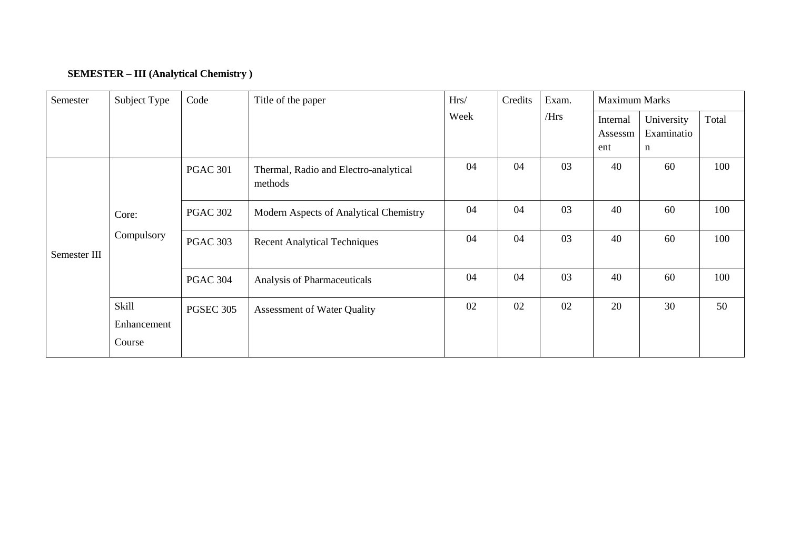# **SEMESTER – III (Analytical Chemistry )**

| Semester     | Subject Type                          | Code             | Title of the paper                               | Hrs/ | Credits | Exam. | <b>Maximum Marks</b>       |                               |       |
|--------------|---------------------------------------|------------------|--------------------------------------------------|------|---------|-------|----------------------------|-------------------------------|-------|
|              |                                       |                  |                                                  | Week |         | /Hrs  | Internal<br>Assessm<br>ent | University<br>Examinatio<br>n | Total |
| Semester III |                                       | <b>PGAC 301</b>  | Thermal, Radio and Electro-analytical<br>methods | 04   | 04      | 03    | 40                         | 60                            | 100   |
|              | Core:<br>Compulsory                   | <b>PGAC 302</b>  | Modern Aspects of Analytical Chemistry           | 04   | 04      | 03    | 40                         | 60                            | 100   |
|              |                                       | <b>PGAC 303</b>  | <b>Recent Analytical Techniques</b>              | 04   | 04      | 03    | 40                         | 60                            | 100   |
|              |                                       | <b>PGAC 304</b>  | Analysis of Pharmaceuticals                      | 04   | 04      | 03    | 40                         | 60                            | 100   |
|              | <b>Skill</b><br>Enhancement<br>Course | <b>PGSEC 305</b> | <b>Assessment of Water Quality</b>               | 02   | 02      | 02    | 20                         | 30                            | 50    |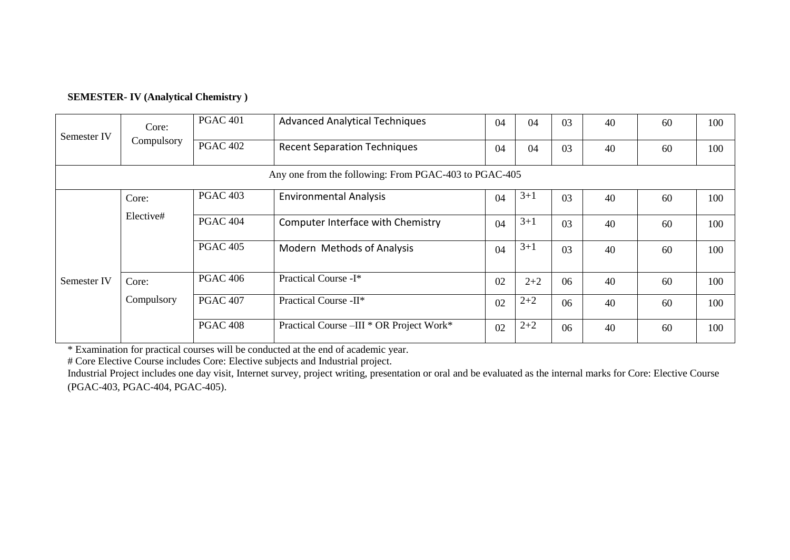| <b>SEMESTER-IV (Analytical Chemistry)</b> |  |
|-------------------------------------------|--|
|-------------------------------------------|--|

|             | Core:                                                 | <b>PGAC 401</b> | <b>Advanced Analytical Techniques</b>    | 04 | 04      | 03 | 40 | 60 | 100 |  |  |  |  |
|-------------|-------------------------------------------------------|-----------------|------------------------------------------|----|---------|----|----|----|-----|--|--|--|--|
| Semester IV | Compulsory                                            | <b>PGAC 402</b> | <b>Recent Separation Techniques</b>      | 04 | 04      | 03 | 40 | 60 | 100 |  |  |  |  |
|             | Any one from the following: From PGAC-403 to PGAC-405 |                 |                                          |    |         |    |    |    |     |  |  |  |  |
|             | Core:                                                 | <b>PGAC 403</b> | <b>Environmental Analysis</b>            | 04 | $3+1$   | 03 | 40 | 60 | 100 |  |  |  |  |
|             | Elective#                                             | <b>PGAC 404</b> | Computer Interface with Chemistry        | 04 | $3 + 1$ | 03 | 40 | 60 | 100 |  |  |  |  |
|             |                                                       | <b>PGAC 405</b> | Modern Methods of Analysis               | 04 | $3 + 1$ | 03 | 40 | 60 | 100 |  |  |  |  |
| Semester IV | Core:                                                 | <b>PGAC 406</b> | Practical Course -I*                     | 02 | $2 + 2$ | 06 | 40 | 60 | 100 |  |  |  |  |
|             | Compulsory                                            | <b>PGAC 407</b> | Practical Course -II*                    | 02 | $2 + 2$ | 06 | 40 | 60 | 100 |  |  |  |  |
|             |                                                       | <b>PGAC 408</b> | Practical Course -III * OR Project Work* | 02 | $2 + 2$ | 06 | 40 | 60 | 100 |  |  |  |  |

\* Examination for practical courses will be conducted at the end of academic year.

# Core Elective Course includes Core: Elective subjects and Industrial project.

Industrial Project includes one day visit, Internet survey, project writing, presentation or oral and be evaluated as the internal marks for Core: Elective Course (PGAC-403, PGAC-404, PGAC-405).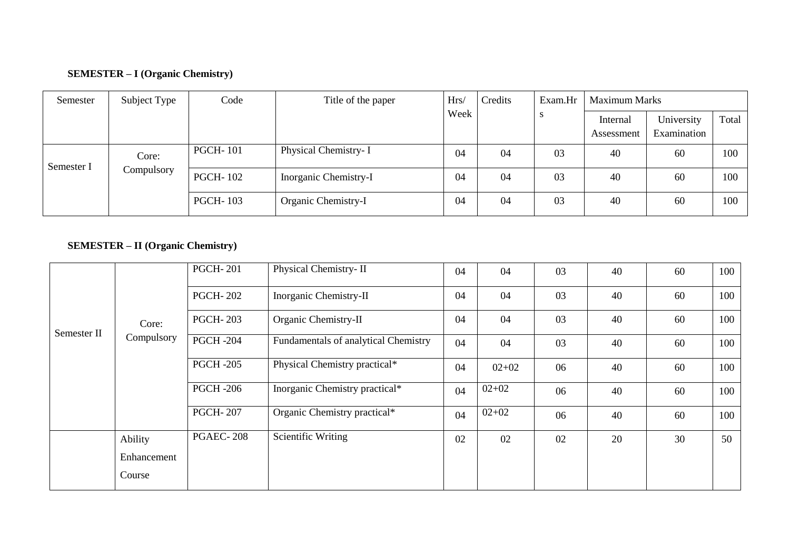# **SEMESTER – I (Organic Chemistry)**

| Semester   | Subject Type        | Code            | Title of the paper    | Hrs/ | Credits | Exam.Hr | <b>Maximum Marks</b>   |                           |       |
|------------|---------------------|-----------------|-----------------------|------|---------|---------|------------------------|---------------------------|-------|
|            |                     |                 |                       | Week |         |         | Internal<br>Assessment | University<br>Examination | Total |
| Semester I | Core:<br>Compulsory | <b>PGCH-101</b> | Physical Chemistry- I | 04   | 04      | 03      | 40                     | 60                        | 100   |
|            |                     | <b>PGCH-102</b> | Inorganic Chemistry-I | 04   | 04      | 03      | 40                     | 60                        | 100   |
|            |                     | <b>PGCH-103</b> | Organic Chemistry-I   | 04   | 04      | 03      | 40                     | 60                        | 100   |

# **SEMESTER – II (Organic Chemistry)**

|             |             | <b>PGCH-201</b>  | Physical Chemistry-II                | 04 | 04        | 03 | 40 | 60 | 100 |
|-------------|-------------|------------------|--------------------------------------|----|-----------|----|----|----|-----|
|             |             | <b>PGCH-202</b>  | Inorganic Chemistry-II               | 04 | 04        | 03 | 40 | 60 | 100 |
| Semester II | Core:       | <b>PGCH-203</b>  | Organic Chemistry-II                 | 04 | 04        | 03 | 40 | 60 | 100 |
|             | Compulsory  | <b>PGCH -204</b> | Fundamentals of analytical Chemistry | 04 | 04        | 03 | 40 | 60 | 100 |
|             |             | <b>PGCH -205</b> | Physical Chemistry practical*        | 04 | $02+02$   | 06 | 40 | 60 | 100 |
|             |             | <b>PGCH -206</b> | Inorganic Chemistry practical*       | 04 | $02 + 02$ | 06 | 40 | 60 | 100 |
|             |             | <b>PGCH-207</b>  | Organic Chemistry practical*         | 04 | $02 + 02$ | 06 | 40 | 60 | 100 |
|             | Ability     | <b>PGAEC-208</b> | <b>Scientific Writing</b>            | 02 | 02        | 02 | 20 | 30 | 50  |
|             | Enhancement |                  |                                      |    |           |    |    |    |     |
|             | Course      |                  |                                      |    |           |    |    |    |     |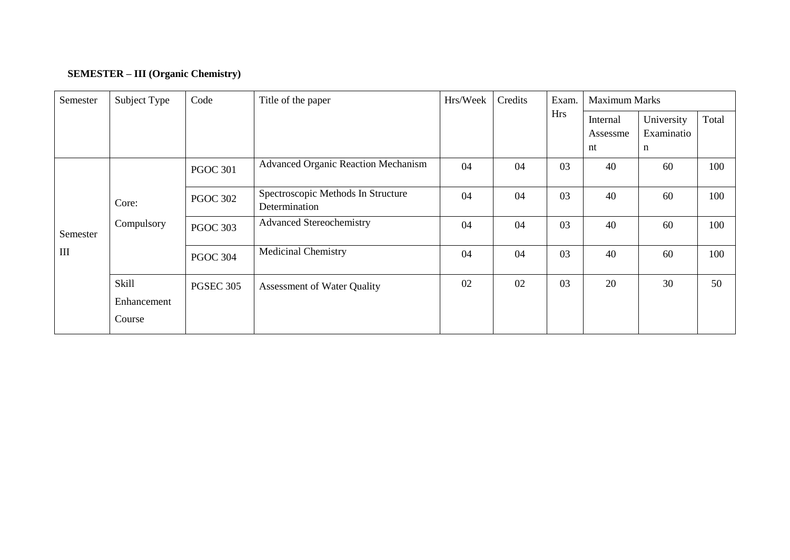# **SEMESTER – III (Organic Chemistry)**

| Semester | Subject Type                          | Code             | Title of the paper                                  | Hrs/Week | Credits | Exam.<br><b>Hrs</b> | <b>Maximum Marks</b>       |                               |       |  |
|----------|---------------------------------------|------------------|-----------------------------------------------------|----------|---------|---------------------|----------------------------|-------------------------------|-------|--|
|          |                                       |                  |                                                     |          |         |                     | Internal<br>Assessme<br>nt | University<br>Examinatio<br>n | Total |  |
|          |                                       | <b>PGOC 301</b>  | <b>Advanced Organic Reaction Mechanism</b>          | 04       | 04      | 03                  | 40                         | 60                            | 100   |  |
|          | Core:<br>Compulsory                   | <b>PGOC 302</b>  | Spectroscopic Methods In Structure<br>Determination | 04       | 04      | 03                  | 40                         | 60                            | 100   |  |
| Semester |                                       | <b>PGOC 303</b>  | <b>Advanced Stereochemistry</b>                     | 04       | 04      | 03                  | 40                         | 60                            | 100   |  |
| III      |                                       | <b>PGOC 304</b>  | <b>Medicinal Chemistry</b>                          | 04       | 04      | 03                  | 40                         | 60                            | 100   |  |
|          | <b>Skill</b><br>Enhancement<br>Course | <b>PGSEC 305</b> | <b>Assessment of Water Quality</b>                  | 02       | 02      | 03                  | 20                         | 30                            | 50    |  |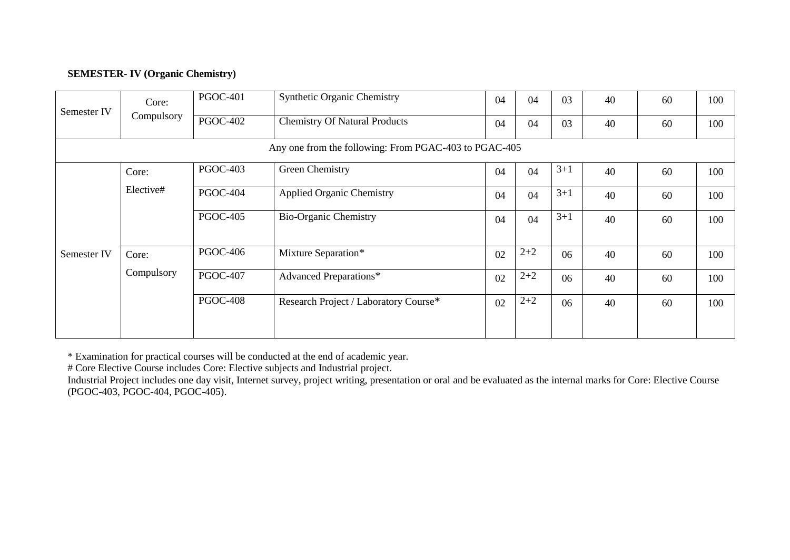### **SEMESTER- IV (Organic Chemistry)**

| Semester IV | Core:      | <b>PGOC-401</b> | <b>Synthetic Organic Chemistry</b>                    | 04 | 04      | 03      | 40 | 60 | 100 |
|-------------|------------|-----------------|-------------------------------------------------------|----|---------|---------|----|----|-----|
|             | Compulsory | <b>PGOC-402</b> | <b>Chemistry Of Natural Products</b>                  | 04 | 04      | 03      | 40 | 60 | 100 |
|             |            |                 | Any one from the following: From PGAC-403 to PGAC-405 |    |         |         |    |    |     |
|             | Core:      | <b>PGOC-403</b> | Green Chemistry                                       | 04 | 04      | $3 + 1$ | 40 | 60 | 100 |
|             | Elective#  | <b>PGOC-404</b> | <b>Applied Organic Chemistry</b>                      | 04 | 04      | $3 + 1$ | 40 | 60 | 100 |
|             |            | <b>PGOC-405</b> | <b>Bio-Organic Chemistry</b>                          | 04 | 04      | $3 + 1$ | 40 | 60 | 100 |
| Semester IV | Core:      | <b>PGOC-406</b> | Mixture Separation*                                   | 02 | $2 + 2$ | 06      | 40 | 60 | 100 |
|             | Compulsory | <b>PGOC-407</b> | <b>Advanced Preparations*</b>                         | 02 | $2 + 2$ | 06      | 40 | 60 | 100 |
|             |            | <b>PGOC-408</b> | Research Project / Laboratory Course*                 | 02 | $2 + 2$ | 06      | 40 | 60 | 100 |
|             |            |                 |                                                       |    |         |         |    |    |     |

\* Examination for practical courses will be conducted at the end of academic year.

# Core Elective Course includes Core: Elective subjects and Industrial project.

Industrial Project includes one day visit, Internet survey, project writing, presentation or oral and be evaluated as the internal marks for Core: Elective Course (PGOC-403, PGOC-404, PGOC-405).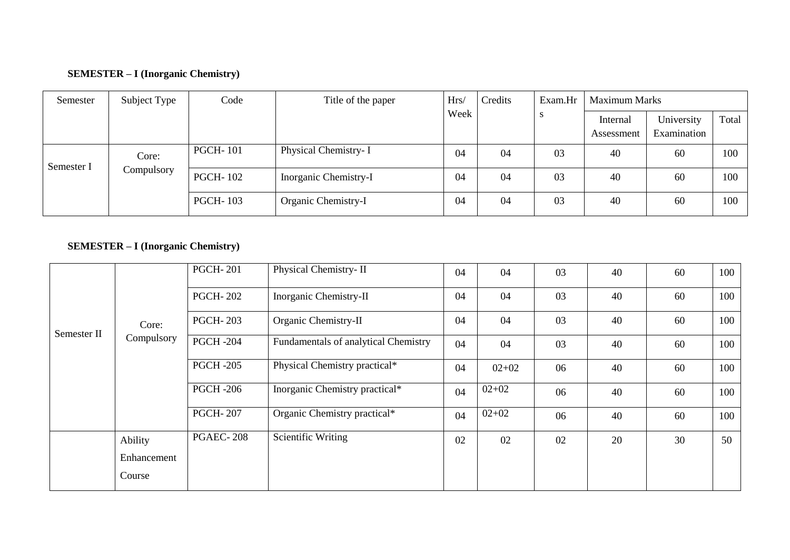### **SEMESTER – I (Inorganic Chemistry)**

| Semester   | Subject Type | Code            | Title of the paper    | Hrs/ | Credits<br>Exam.Hr | <b>Maximum Marks</b> |                        |                           |       |
|------------|--------------|-----------------|-----------------------|------|--------------------|----------------------|------------------------|---------------------------|-------|
|            |              |                 |                       | Week |                    |                      | Internal<br>Assessment | University<br>Examination | Total |
| Semester I | Core:        | <b>PGCH-101</b> | Physical Chemistry- I | 04   | 04                 | 03                   | 40                     | 60                        | 100   |
|            | Compulsory   | <b>PGCH-102</b> | Inorganic Chemistry-I | 04   | 04                 | 03                   | 40                     | 60                        | 100   |
|            |              | <b>PGCH-103</b> | Organic Chemistry-I   | 04   | 04                 | 03                   | 40                     | 60                        | 100   |

## **SEMESTER – I (Inorganic Chemistry)**

| Core:<br>Semester II<br>Compulsory |             | <b>PGCH-201</b>  | Physical Chemistry-II                | 04 | 04        | 03 | 40 | 60 | 100 |
|------------------------------------|-------------|------------------|--------------------------------------|----|-----------|----|----|----|-----|
|                                    |             | <b>PGCH-202</b>  | Inorganic Chemistry-II               | 04 | 04        | 03 | 40 | 60 | 100 |
|                                    |             | <b>PGCH-203</b>  | Organic Chemistry-II                 | 04 | 04        | 03 | 40 | 60 | 100 |
|                                    |             | <b>PGCH -204</b> | Fundamentals of analytical Chemistry | 04 | 04        | 03 | 40 | 60 | 100 |
|                                    |             | <b>PGCH -205</b> | Physical Chemistry practical*        | 04 | $02+02$   | 06 | 40 | 60 | 100 |
|                                    |             | <b>PGCH -206</b> | Inorganic Chemistry practical*       | 04 | $02+02$   | 06 | 40 | 60 | 100 |
|                                    |             | <b>PGCH-207</b>  | Organic Chemistry practical*         | 04 | $02 + 02$ | 06 | 40 | 60 | 100 |
|                                    | Ability     | <b>PGAEC-208</b> | Scientific Writing                   | 02 | 02        | 02 | 20 | 30 | 50  |
|                                    | Enhancement |                  |                                      |    |           |    |    |    |     |
|                                    | Course      |                  |                                      |    |           |    |    |    |     |
|                                    |             |                  |                                      |    |           |    |    |    |     |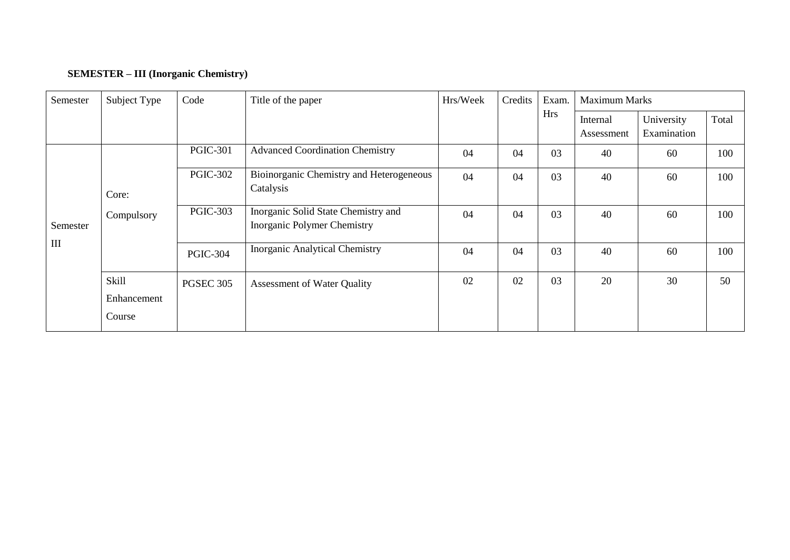# **SEMESTER – III (Inorganic Chemistry)**

| Semester                         | Subject Type                   |                  | Title of the paper                                                 | Hrs/Week | Credits | Exam.      | <b>Maximum Marks</b>   |                           |       |
|----------------------------------|--------------------------------|------------------|--------------------------------------------------------------------|----------|---------|------------|------------------------|---------------------------|-------|
|                                  |                                |                  |                                                                    |          |         | <b>Hrs</b> | Internal<br>Assessment | University<br>Examination | Total |
|                                  |                                | <b>PGIC-301</b>  | <b>Advanced Coordination Chemistry</b>                             | 04       | 04      | 03         | 40                     | 60                        | 100   |
|                                  | Core:                          | <b>PGIC-302</b>  | Bioinorganic Chemistry and Heterogeneous<br>Catalysis              | 04       | 04      | 03         | 40                     | 60                        | 100   |
| Semester                         | Compulsory                     | <b>PGIC-303</b>  | Inorganic Solid State Chemistry and<br>Inorganic Polymer Chemistry | 04       | 04      | 03         | 40                     | 60                        | 100   |
| $\mathop{\mathrm{III}}\nolimits$ |                                | <b>PGIC-304</b>  | <b>Inorganic Analytical Chemistry</b>                              | 04       | 04      | 03         | 40                     | 60                        | 100   |
|                                  | Skill<br>Enhancement<br>Course | <b>PGSEC 305</b> | Assessment of Water Quality                                        | 02       | 02      | 03         | 20                     | 30                        | 50    |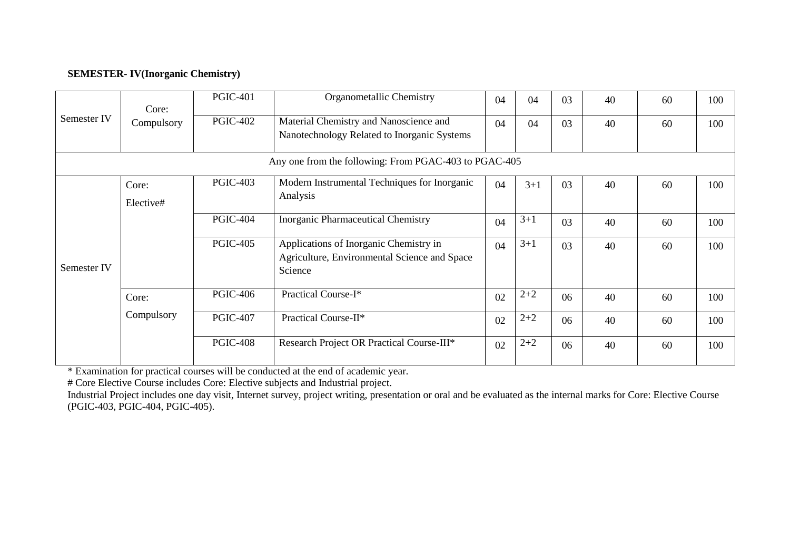#### **SEMESTER- IV(Inorganic Chemistry)**

|             | Core:                                                                                                                  | <b>PGIC-401</b> | Organometallic Chemistry                                                                          | 04 | 04      | 03 | 40 | 60  | 100 |
|-------------|------------------------------------------------------------------------------------------------------------------------|-----------------|---------------------------------------------------------------------------------------------------|----|---------|----|----|-----|-----|
| Semester IV | <b>PGIC-402</b><br>Material Chemistry and Nanoscience and<br>Compulsory<br>Nanotechnology Related to Inorganic Systems |                 | 04                                                                                                | 04 | 03      | 40 | 60 | 100 |     |
|             |                                                                                                                        |                 | Any one from the following: From PGAC-403 to PGAC-405                                             |    |         |    |    |     |     |
|             | Core:<br>Elective#                                                                                                     | <b>PGIC-403</b> | Modern Instrumental Techniques for Inorganic<br>Analysis                                          | 04 | $3 + 1$ | 03 | 40 | 60  | 100 |
|             |                                                                                                                        | <b>PGIC-404</b> | <b>Inorganic Pharmaceutical Chemistry</b>                                                         | 04 | $3 + 1$ | 03 | 40 | 60  | 100 |
| Semester IV |                                                                                                                        | <b>PGIC-405</b> | Applications of Inorganic Chemistry in<br>Agriculture, Environmental Science and Space<br>Science | 04 | $3 + 1$ | 03 | 40 | 60  | 100 |
|             | Core:                                                                                                                  | <b>PGIC-406</b> | Practical Course-I*                                                                               | 02 | $2 + 2$ | 06 | 40 | 60  | 100 |
|             | Compulsory                                                                                                             | <b>PGIC-407</b> | Practical Course-II*                                                                              | 02 | $2 + 2$ | 06 | 40 | 60  | 100 |
|             |                                                                                                                        | <b>PGIC-408</b> | Research Project OR Practical Course-III*                                                         | 02 | $2 + 2$ | 06 | 40 | 60  | 100 |

\* Examination for practical courses will be conducted at the end of academic year.

# Core Elective Course includes Core: Elective subjects and Industrial project.

Industrial Project includes one day visit, Internet survey, project writing, presentation or oral and be evaluated as the internal marks for Core: Elective Course (PGIC-403, PGIC-404, PGIC-405).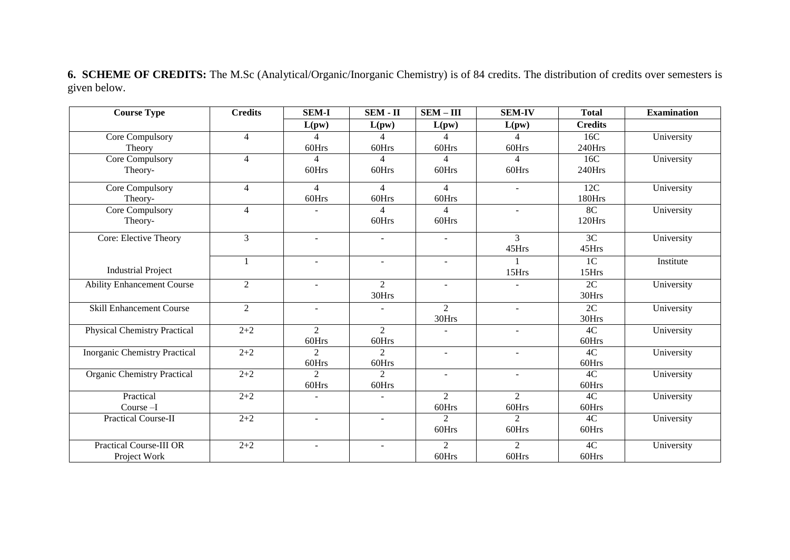**6. SCHEME OF CREDITS:** The M.Sc (Analytical/Organic/Inorganic Chemistry) is of 84 credits. The distribution of credits over semesters is given below.

| <b>Course Type</b>                   | <b>Credits</b> | <b>SEM-I</b>                | $SEM - II$               | $SEM - III$    | <b>SEM-IV</b>  | <b>Total</b>    | <b>Examination</b> |
|--------------------------------------|----------------|-----------------------------|--------------------------|----------------|----------------|-----------------|--------------------|
|                                      |                | L(pw)                       | L(pw)                    | L(pw)          | L(pw)          | <b>Credits</b>  |                    |
| Core Compulsory                      | $\overline{4}$ | $\Delta$                    | 4                        | $\overline{4}$ | $\Delta$       | 16C             | University         |
| Theory                               |                | 60Hrs                       | 60Hrs                    | 60Hrs          | 60Hrs          | 240Hrs          |                    |
| Core Compulsory                      | $\overline{4}$ | 4                           | $\overline{4}$           | 4              | 4              | 16C             | University         |
| Theory-                              |                | 60Hrs                       | 60Hrs                    | 60Hrs          | 60Hrs          | 240Hrs          |                    |
| Core Compulsory                      | $\overline{4}$ | $\overline{4}$              | 4                        | $\overline{4}$ | $\mathbf{r}$   | 12C             | University         |
| Theory-                              |                | 60Hrs                       | 60Hrs                    | 60Hrs          |                | 180Hrs          |                    |
| Core Compulsory                      | $\overline{4}$ |                             | $\overline{4}$           | $\overline{4}$ | $\blacksquare$ | 8 <sup>C</sup>  | University         |
| Theory-                              |                |                             | 60Hrs                    | 60Hrs          |                | 120Hrs          |                    |
| Core: Elective Theory                | $\mathfrak{Z}$ | $\blacksquare$              |                          |                | 3              | 3C              | University         |
|                                      |                |                             |                          |                | 45Hrs          | 45Hrs           |                    |
|                                      | $\mathbf{1}$   | $\overline{\phantom{a}}$    | $\overline{\phantom{a}}$ |                |                | 1 <sup>C</sup>  | Institute          |
| <b>Industrial Project</b>            |                |                             |                          |                | 15Hrs          | 15Hrs           |                    |
| <b>Ability Enhancement Course</b>    | $\mathfrak{2}$ | $\blacksquare$              | 2                        | $\sim$         |                | $\overline{2C}$ | University         |
|                                      |                |                             | 30Hrs                    |                |                | 30Hrs           |                    |
| <b>Skill Enhancement Course</b>      | 2              | $\blacksquare$              |                          | 2              | $\blacksquare$ | $\overline{2C}$ | University         |
|                                      |                |                             |                          | 30Hrs          |                | 30Hrs           |                    |
| <b>Physical Chemistry Practical</b>  | $2 + 2$        | 2                           | $\overline{2}$           |                | $\sim$         | 4C              | University         |
|                                      |                | 60Hrs                       | 60Hrs                    |                |                | 60Hrs           |                    |
| <b>Inorganic Chemistry Practical</b> | $2 + 2$        | $\overline{2}$              | $\overline{2}$           |                |                | 4C              | University         |
|                                      |                | 60Hrs                       | 60Hrs                    |                |                | 60Hrs           |                    |
| <b>Organic Chemistry Practical</b>   | $2 + 2$        | $\mathcal{D}_{\mathcal{L}}$ | $\overline{2}$           | $\blacksquare$ | $\sim$         | 4C              | University         |
|                                      |                | 60Hrs                       | 60Hrs                    |                |                | 60Hrs           |                    |
| Practical                            | $2 + 2$        | ÷.                          |                          | 2              | $\overline{2}$ | 4C              | University         |
| Course $-I$                          |                |                             |                          | 60Hrs          | 60Hrs          | 60Hrs           |                    |
| <b>Practical Course-II</b>           | $2 + 2$        | $\overline{\phantom{a}}$    |                          | $\overline{2}$ | $\overline{2}$ | 4C              | University         |
|                                      |                |                             |                          | 60Hrs          | 60Hrs          | 60Hrs           |                    |
| <b>Practical Course-III OR</b>       | $2 + 2$        | $\overline{\phantom{a}}$    | $\blacksquare$           | $\overline{2}$ | 2              | 4C              | University         |
| Project Work                         |                |                             |                          | 60Hrs          | 60Hrs          | 60Hrs           |                    |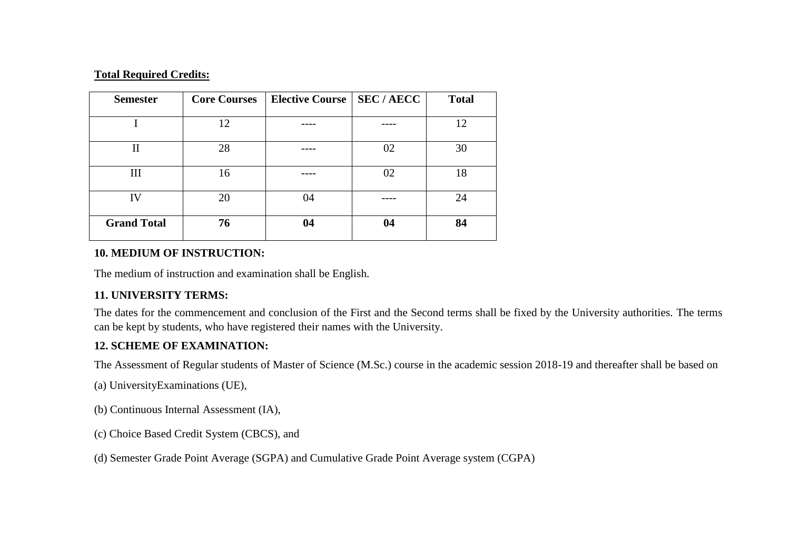#### **Total Required Credits:**

| <b>Semester</b>    | <b>Core Courses</b> | Elective Course   SEC / AECC |    | <b>Total</b> |
|--------------------|---------------------|------------------------------|----|--------------|
|                    | 12                  |                              |    | 12           |
| $\mathbf{I}$       | 28                  |                              | 02 | 30           |
| Ш                  | 16                  |                              | 02 | 18           |
|                    |                     |                              |    |              |
| IV                 | 20                  | 04                           |    | 24           |
| <b>Grand Total</b> | 76                  | 04                           | 04 | 84           |

### **10. MEDIUM OF INSTRUCTION:**

The medium of instruction and examination shall be English.

### **11. UNIVERSITY TERMS:**

The dates for the commencement and conclusion of the First and the Second terms shall be fixed by the University authorities. The terms can be kept by students, who have registered their names with the University.

### **12. SCHEME OF EXAMINATION:**

The Assessment of Regular students of Master of Science (M.Sc.) course in the academic session 2018-19 and thereafter shall be based on

- (a) UniversityExaminations (UE),
- (b) Continuous Internal Assessment (IA),
- (c) Choice Based Credit System (CBCS), and
- (d) Semester Grade Point Average (SGPA) and Cumulative Grade Point Average system (CGPA)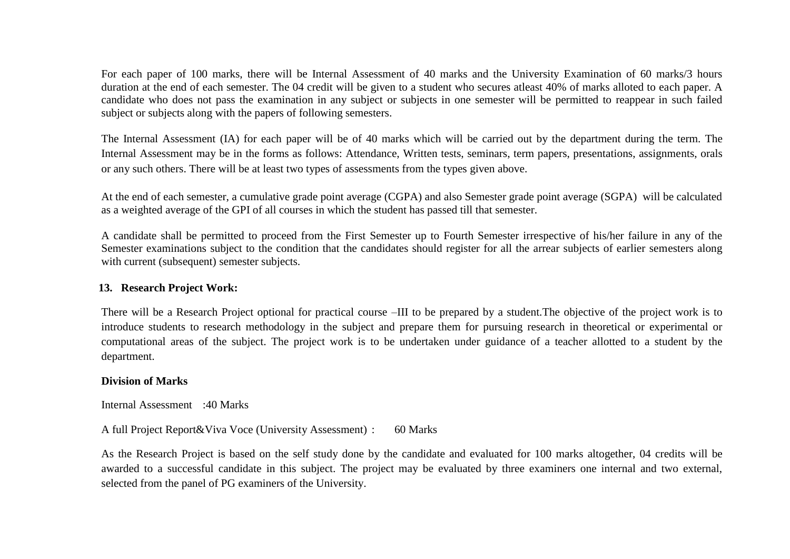For each paper of 100 marks, there will be Internal Assessment of 40 marks and the University Examination of 60 marks/3 hours duration at the end of each semester. The 04 credit will be given to a student who secures atleast 40% of marks alloted to each paper. A candidate who does not pass the examination in any subject or subjects in one semester will be permitted to reappear in such failed subject or subjects along with the papers of following semesters.

The Internal Assessment (IA) for each paper will be of 40 marks which will be carried out by the department during the term. The Internal Assessment may be in the forms as follows: Attendance, Written tests, seminars, term papers, presentations, assignments, orals or any such others. There will be at least two types of assessments from the types given above.

At the end of each semester, a cumulative grade point average (CGPA) and also Semester grade point average (SGPA) will be calculated as a weighted average of the GPI of all courses in which the student has passed till that semester.

A candidate shall be permitted to proceed from the First Semester up to Fourth Semester irrespective of his/her failure in any of the Semester examinations subject to the condition that the candidates should register for all the arrear subjects of earlier semesters along with current (subsequent) semester subjects.

#### **13. Research Project Work:**

There will be a Research Project optional for practical course –III to be prepared by a student.The objective of the project work is to introduce students to research methodology in the subject and prepare them for pursuing research in theoretical or experimental or computational areas of the subject. The project work is to be undertaken under guidance of a teacher allotted to a student by the department.

#### **Division of Marks**

Internal Assessment :40 Marks

A full Project Report&Viva Voce (University Assessment) : 60 Marks

As the Research Project is based on the self study done by the candidate and evaluated for 100 marks altogether, 04 credits will be awarded to a successful candidate in this subject. The project may be evaluated by three examiners one internal and two external, selected from the panel of PG examiners of the University.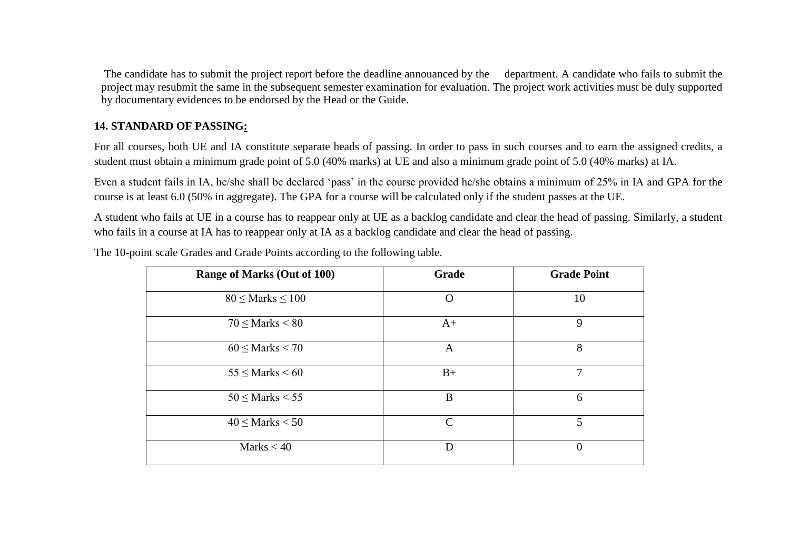The candidate has to submit the project report before the deadline annouanced by the department. A candidate who fails to submit the project may resubmit the same in the subsequent semester examination for evaluation. The project work activities must be duly supported by documentary evidences to be endorsed by the Head or the Guide.

### **14. STANDARD OF PASSING:**

For all courses, both UE and IA constitute separate heads of passing. In order to pass in such courses and to earn the assigned credits, a student must obtain a minimum grade point of 5.0 (40% marks) at UE and also a minimum grade point of 5.0 (40% marks) at IA.

Even a student fails in IA, he/she shall be declared 'pass' in the course provided he/she obtains a minimum of 25% in IA and GPA for the course is at least 6.0 (50% in aggregate). The GPA for a course will be calculated only if the student passes at the UE.

A student who fails at UE in a course has to reappear only at UE as a backlog candidate and clear the head of passing. Similarly, a student who fails in a course at IA has to reappear only at IA as a backlog candidate and clear the head of passing.

| Range of Marks (Out of 100) | Grade         | <b>Grade Point</b> |
|-----------------------------|---------------|--------------------|
| $80 \leq$ Marks $\leq 100$  | O             | 10                 |
| $70 \leq$ Marks $< 80$      | $A+$          | 9                  |
| $60 \leq$ Marks < 70        | A             | 8                  |
| $55 <$ Marks $< 60$         | $B+$          | 7                  |
| $50 \leq$ Marks $< 55$      | B             | 6                  |
| $40 \leq$ Marks $< 50$      | $\mathcal{C}$ | 5                  |
| Marks $< 40$                | D             | $\theta$           |

The 10-point scale Grades and Grade Points according to the following table.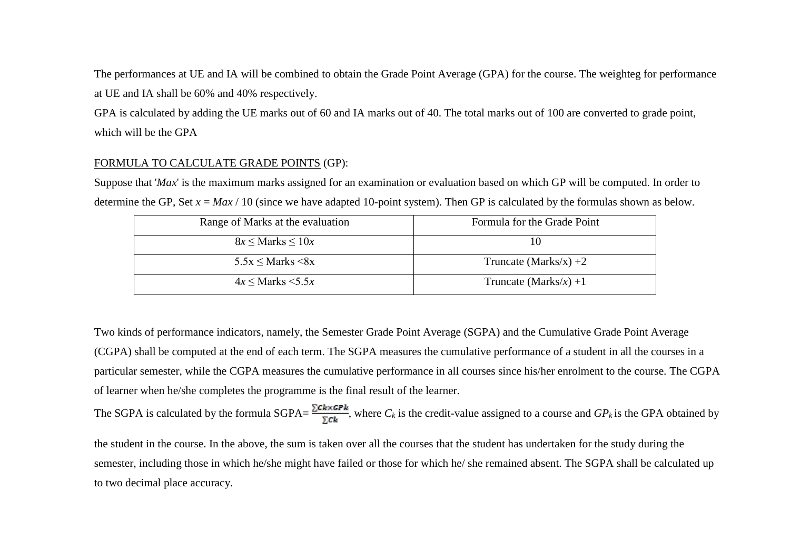The performances at UE and IA will be combined to obtain the Grade Point Average (GPA) for the course. The weighteg for performance at UE and IA shall be 60% and 40% respectively.

GPA is calculated by adding the UE marks out of 60 and IA marks out of 40. The total marks out of 100 are converted to grade point, which will be the GPA

#### FORMULA TO CALCULATE GRADE POINTS (GP):

Suppose that '*Max*' is the maximum marks assigned for an examination or evaluation based on which GP will be computed. In order to determine the GP, Set  $x = Max / 10$  (since we have adapted 10-point system). Then GP is calculated by the formulas shown as below.

| Range of Marks at the evaluation | Formula for the Grade Point |
|----------------------------------|-----------------------------|
| $8x \leq$ Marks $\leq 10x$       | 10                          |
| $5.5x \leq$ Marks $\leq 8x$      | Truncate (Marks/x) $+2$     |
| $4x \leq$ Marks $\leq 5.5x$      | Truncate (Marks/x) +1       |

Two kinds of performance indicators, namely, the Semester Grade Point Average (SGPA) and the Cumulative Grade Point Average (CGPA) shall be computed at the end of each term. The SGPA measures the cumulative performance of a student in all the courses in a particular semester, while the CGPA measures the cumulative performance in all courses since his/her enrolment to the course. The CGPA of learner when he/she completes the programme is the final result of the learner.

The SGPA is calculated by the formula SGPA= $\frac{\sum c k \times GPR}{\sum c k}$ , where  $C_k$  is the credit-value assigned to a course and  $GP_k$  is the GPA obtained by

the student in the course. In the above, the sum is taken over all the courses that the student has undertaken for the study during the semester, including those in which he/she might have failed or those for which he/ she remained absent. The SGPA shall be calculated up to two decimal place accuracy.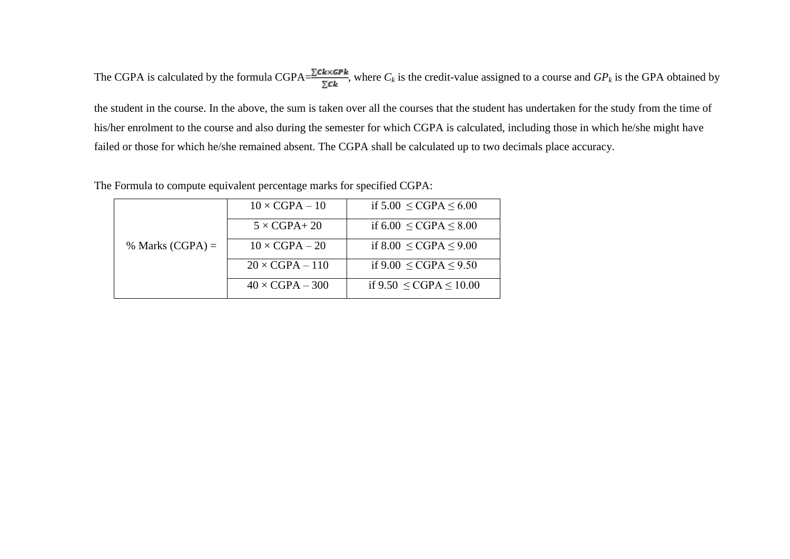The CGPA is calculated by the formula CGPA= $\frac{\sum c_k \times GPR}{\sum c_k}$ , where  $C_k$  is the credit-value assigned to a course and  $GP_k$  is the GPA obtained by

the student in the course. In the above, the sum is taken over all the courses that the student has undertaken for the study from the time of his/her enrolment to the course and also during the semester for which CGPA is calculated, including those in which he/she might have failed or those for which he/she remained absent. The CGPA shall be calculated up to two decimals place accuracy.

|  |  |  | The Formula to compute equivalent percentage marks for specified CGPA: |
|--|--|--|------------------------------------------------------------------------|
|--|--|--|------------------------------------------------------------------------|

|                    | $10 \times CGPA - 10$  | if $5.00 \leq CGPA \leq 6.00$  |
|--------------------|------------------------|--------------------------------|
|                    | $5 \times CGPA + 20$   | if $6.00 \leq CGPA \leq 8.00$  |
| % Marks $(CGPA) =$ | $10 \times CGPA - 20$  | if $8.00 \leq CGPA \leq 9.00$  |
|                    | $20 \times CGPA - 110$ | if $9.00 \leq CGPA \leq 9.50$  |
|                    | $40 \times CGPA - 300$ | if $9.50 \leq CGPA \leq 10.00$ |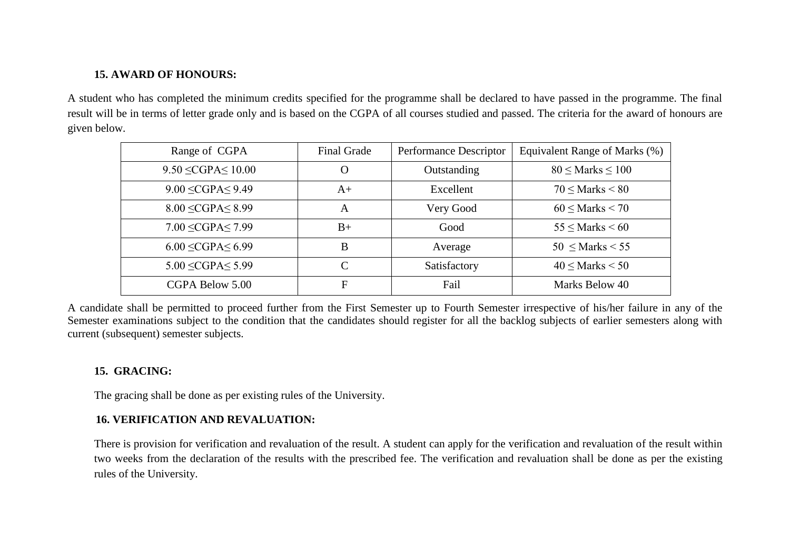### **15. AWARD OF HONOURS:**

A student who has completed the minimum credits specified for the programme shall be declared to have passed in the programme. The final result will be in terms of letter grade only and is based on the CGPA of all courses studied and passed. The criteria for the award of honours are given below.

| Range of CGPA               | <b>Final Grade</b> | Performance Descriptor | Equivalent Range of Marks (%) |
|-----------------------------|--------------------|------------------------|-------------------------------|
| $9.50 \leq CGPA \leq 10.00$ | $\Omega$           | Outstanding            | $80 \leq$ Marks $\leq 100$    |
| $9.00 \leq CGPA \leq 9.49$  | $A+$               | Excellent              | $70 <$ Marks $< 80$           |
| $8.00 \leq CGPA \leq 8.99$  | A                  | Very Good              | $60 \leq$ Marks $< 70$        |
| 7.00 < CGPA < 7.99          | $B+$               | Good                   | $55 <$ Marks $< 60$           |
| $6.00 \leq CGPA \leq 6.99$  | B                  | Average                | $50$ < Marks < 55             |
| $5.00 \leq CGPA \leq 5.99$  | $\mathcal{C}$      | Satisfactory           | $40 \leq$ Marks $< 50$        |
| CGPA Below 5.00             | F                  | Fail                   | Marks Below 40                |

A candidate shall be permitted to proceed further from the First Semester up to Fourth Semester irrespective of his/her failure in any of the Semester examinations subject to the condition that the candidates should register for all the backlog subjects of earlier semesters along with current (subsequent) semester subjects.

### **15. GRACING:**

The gracing shall be done as per existing rules of the University.

### **16. VERIFICATION AND REVALUATION:**

There is provision for verification and revaluation of the result. A student can apply for the verification and revaluation of the result within two weeks from the declaration of the results with the prescribed fee. The verification and revaluation shall be done as per the existing rules of the University.